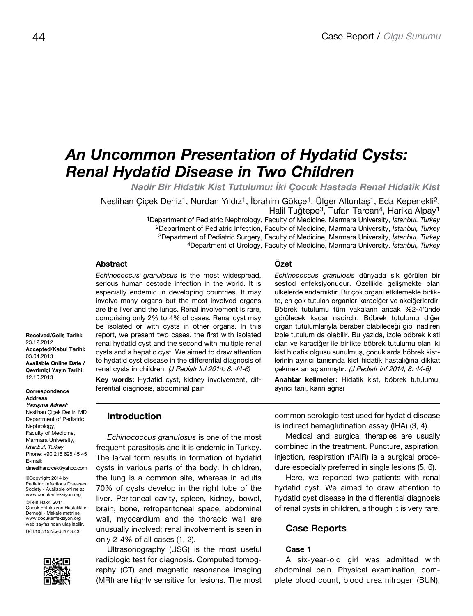# *An Uncommon Presentation of Hydatid Cysts: Renal Hydatid Disease in Two Children*

*Nadir Bir Hidatik Kist Tutulumu: İki Çocuk Hastada Renal Hidatik Kist*

Neslihan Çiçek Deniz<sup>1</sup>, Nurdan Yıldız<sup>1</sup>, İbrahim Gökçe<sup>1</sup>, Ülger Altuntaş<sup>1</sup>, Eda Kepenekli<sup>2</sup>, Halil Tuğtepe<sup>3</sup>, Tufan Tarcan<sup>4</sup>, Harika Alpay<sup>1</sup>

1Department of Pediatric Nephrology, Faculty of Medicine, Marmara University, *İstanbul, Turkey* 2Department of Pediatric Infection, Faculty of Medicine, Marmara University, *İstanbul, Turkey* 3Department of Pediatric Surgery, Faculty of Medicine, Marmara University, *İstanbul, Turkey* 4Department of Urology, Faculty of Medicine, Marmara University, *İstanbul, Turkey*

#### **Abstract**

*Echinococcus granulosus* is the most widespread, serious human cestode infection in the world. It is especially endemic in developing countries. It may involve many organs but the most involved organs are the liver and the lungs. Renal involvement is rare, comprising only 2% to 4% of cases. Renal cyst may be isolated or with cysts in other organs. In this report, we present two cases, the first with isolated renal hydatid cyst and the second with multiple renal cysts and a hepatic cyst. We aimed to draw attention to hydatid cyst disease in the differential diagnosis of renal cysts in children. (J Pediatr Inf 2014; 8: 44-6)

**Key words:** Hydatid cyst, kidney involvement, differential diagnosis, abdominal pain

**Çevrimiçi Yayın Tarihi:**  12.10.2013 **Correspondence Address Yazışma Adresi:** Neslihan Çiçek Deniz, MD Department of Pediatric

**Received/Geliş Tarihi:** 

**Accepted/Kabul Tarihi:** 

**Available Online Date /**

23.12.2012

03.04.2013

Nephrology, Faculty of Medicine, Marmara University, *İstanbul, Turkey* Phone: +90 216 625 45 45 E-mail: drneslihancicek@yahoo.com

©Copyright 2014 by Pediatric Infectious Diseases Society - Available online at www.cocukenfeksiyon.org ©Telif Hakkı 2014 Çocuk Enfeksiyon Hastalıkları Derneği - Makale metnine www.cocukenfeksiyon.org web sayfasından ulaşılabilir. DOI:10.5152/ced.2013.43



**Introduction**

*Echinococcus granulosus* is one of the most frequent parasitosis and it is endemic in Turkey. The larval form results in formation of hydatid cysts in various parts of the body. In children, the lung is a common site, whereas in adults 70% of cysts develop in the right lobe of the liver. Peritoneal cavity, spleen, kidney, bowel, brain, bone, retroperitoneal space, abdominal wall, myocardium and the thoracic wall are unusually involved; renal involvement is seen in only 2-4% of all cases (1, 2).

Ultrasonography (USG) is the most useful radiologic test for diagnosis. Computed tomography (CT) and magnetic resonance imaging (MRI) are highly sensitive for lesions. The most

## **Özet**

*Echinococcus granulosis* dünyada sık görülen bir sestod enfeksiyonudur. Özellikle gelişmekte olan ülkelerde endemiktir. Bir çok organı etkilemekle birlikte, en çok tutulan organlar karaciğer ve akciğerlerdir. Böbrek tutulumu tüm vakaların ancak %2-4'ünde görülecek kadar nadirdir. Böbrek tutulumu diğer organ tutulumlarıyla beraber olabileceği gibi nadiren izole tutulum da olabilir. Bu yazıda, izole böbrek kisti olan ve karaciğer ile birlikte böbrek tutulumu olan iki kist hidatik olgusu sunulmuş, çocuklarda böbrek kistlerinin ayırıcı tanısında kist hidatik hastalığına dikkat çekmek amaçlanmıştır. (J Pediatr Inf 2014; 8: 44-6)

**Anahtar kelimeler:** Hidatik kist, böbrek tutulumu, ayırıcı tanı, karın ağrısı

common serologic test used for hydatid disease is indirect hemaglutination assay (IHA) (3, 4).

Medical and surgical therapies are usually combined in the treatment. Puncture, aspiration, injection, respiration (PAIR) is a surgical procedure especially preferred in single lesions (5, 6).

Here, we reported two patients with renal hydatid cyst. We aimed to draw attention to hydatid cyst disease in the differential diagnosis of renal cysts in children, although it is very rare.

# **Case Reports**

### **Case 1**

A six-year-old girl was admitted with abdominal pain. Physical examination, complete blood count, blood urea nitrogen (BUN),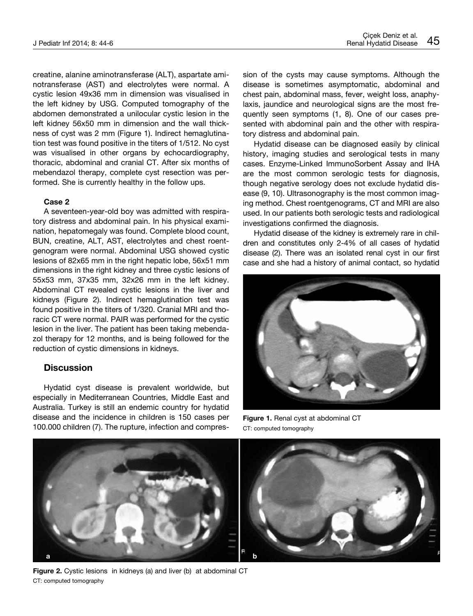creatine, alanine aminotransferase (ALT), aspartate aminotransferase (AST) and electrolytes were normal. A cystic lesion 49x36 mm in dimension was visualised in the left kidney by USG. Computed tomography of the abdomen demonstrated a unilocular cystic lesion in the left kidney 56x50 mm in dimension and the wall thickness of cyst was 2 mm (Figure 1). Indirect hemaglutination test was found positive in the titers of 1/512. No cyst was visualised in other organs by echocardiography, thoracic, abdominal and cranial CT. After six months of mebendazol therapy, complete cyst resection was performed. She is currently healthy in the follow ups.

#### **Case 2**

A seventeen-year-old boy was admitted with respiratory distress and abdominal pain. In his physical examination, hepatomegaly was found. Complete blood count, BUN, creatine, ALT, AST, electrolytes and chest roentgenogram were normal. Abdominal USG showed cystic lesions of 82x65 mm in the right hepatic lobe, 56x51 mm dimensions in the right kidney and three cystic lesions of 55x53 mm, 37x35 mm, 32x26 mm in the left kidney. Abdominal CT revealed cystic lesions in the liver and kidneys (Figure 2). Indirect hemaglutination test was found positive in the titers of 1/320. Cranial MRI and thoracic CT were normal. PAIR was performed for the cystic lesion in the liver. The patient has been taking mebendazol therapy for 12 months, and is being followed for the reduction of cystic dimensions in kidneys.

#### **Discussion**

Hydatid cyst disease is prevalent worldwide, but especially in Mediterranean Countries, Middle East and Australia. Turkey is still an endemic country for hydatid disease and the incidence in children is 150 cases per 100.000 children (7). The rupture, infection and compression of the cysts may cause symptoms. Although the disease is sometimes asymptomatic, abdominal and chest pain, abdominal mass, fever, weight loss, anaphylaxis, jaundice and neurological signs are the most frequently seen symptoms (1, 8). One of our cases presented with abdominal pain and the other with respiratory distress and abdominal pain.

Hydatid disease can be diagnosed easily by clinical history, imaging studies and serological tests in many cases. Enzyme-Linked ImmunoSorbent Assay and IHA are the most common serologic tests for diagnosis, though negative serology does not exclude hydatid disease (9, 10). Ultrasonography is the most common imaging method. Chest roentgenograms, CT and MRI are also used. In our patients both serologic tests and radiological investigations confirmed the diagnosis.

Hydatid disease of the kidney is extremely rare in children and constitutes only 2-4% of all cases of hydatid disease (2). There was an isolated renal cyst in our first case and she had a history of animal contact, so hydatid



**Figure 1.** Renal cyst at abdominal CT CT: computed tomography



Figure 2. Cystic lesions in kidneys (a) and liver (b) at abdominal CT CT: computed tomography